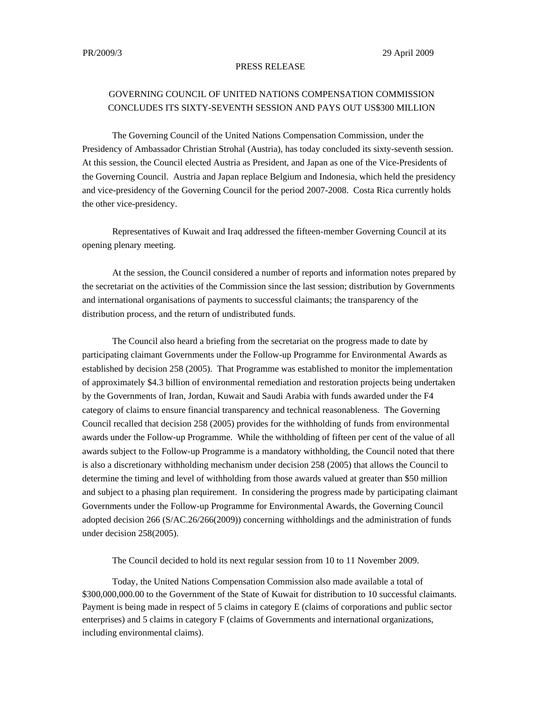## PRESS RELEASE

## GOVERNING COUNCIL OF UNITED NATIONS COMPENSATION COMMISSION CONCLUDES ITS SIXTY-SEVENTH SESSION AND PAYS OUT US\$300 MILLION

The Governing Council of the United Nations Compensation Commission, under the Presidency of Ambassador Christian Strohal (Austria), has today concluded its sixty-seventh session. At this session, the Council elected Austria as President, and Japan as one of the Vice-Presidents of the Governing Council. Austria and Japan replace Belgium and Indonesia, which held the presidency and vice-presidency of the Governing Council for the period 2007-2008. Costa Rica currently holds the other vice-presidency.

Representatives of Kuwait and Iraq addressed the fifteen-member Governing Council at its opening plenary meeting.

At the session, the Council considered a number of reports and information notes prepared by the secretariat on the activities of the Commission since the last session; distribution by Governments and international organisations of payments to successful claimants; the transparency of the distribution process, and the return of undistributed funds.

The Council also heard a briefing from the secretariat on the progress made to date by participating claimant Governments under the Follow-up Programme for Environmental Awards as established by decision 258 (2005). That Programme was established to monitor the implementation of approximately \$4.3 billion of environmental remediation and restoration projects being undertaken by the Governments of Iran, Jordan, Kuwait and Saudi Arabia with funds awarded under the F4 category of claims to ensure financial transparency and technical reasonableness. The Governing Council recalled that decision 258 (2005) provides for the withholding of funds from environmental awards under the Follow-up Programme. While the withholding of fifteen per cent of the value of all awards subject to the Follow-up Programme is a mandatory withholding, the Council noted that there is also a discretionary withholding mechanism under decision 258 (2005) that allows the Council to determine the timing and level of withholding from those awards valued at greater than \$50 million and subject to a phasing plan requirement. In considering the progress made by participating claimant Governments under the Follow-up Programme for Environmental Awards, the Governing Council adopted decision 266 (S/AC.26/266(2009)) concerning withholdings and the administration of funds under decision 258(2005).

The Council decided to hold its next regular session from 10 to 11 November 2009.

Today, the United Nations Compensation Commission also made available a total of \$300,000,000.00 to the Government of the State of Kuwait for distribution to 10 successful claimants. Payment is being made in respect of 5 claims in category E (claims of corporations and public sector enterprises) and 5 claims in category F (claims of Governments and international organizations, including environmental claims).